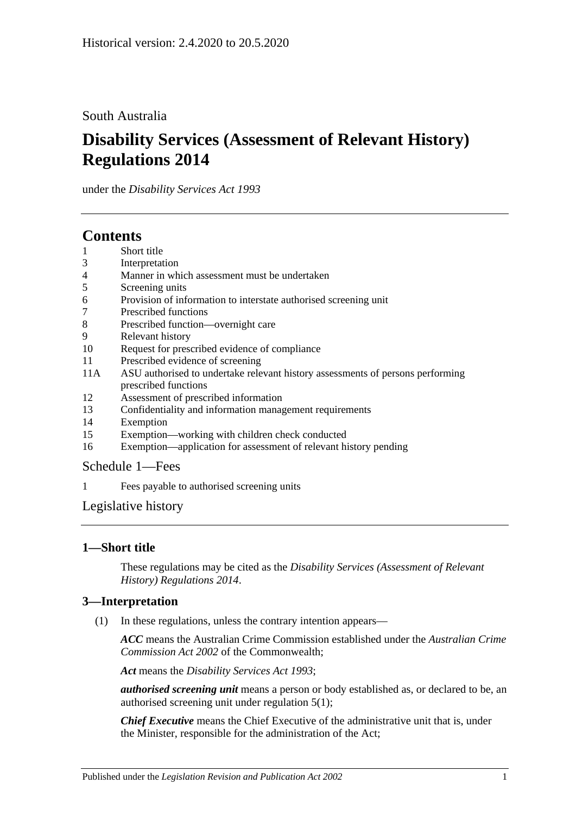# South Australia

# **Disability Services (Assessment of Relevant History) Regulations 2014**

under the *Disability Services Act 1993*

# **Contents**

- 1 [Short title](#page-0-0)
- 3 [Interpretation](#page-0-1)
- 4 [Manner in which assessment must be undertaken](#page-1-0)
- 5 [Screening units](#page-1-1)
- 6 [Provision of information to interstate authorised screening unit](#page-1-2)
- 7 [Prescribed functions](#page-1-3)
- 8 [Prescribed function—overnight care](#page-2-0)
- 9 [Relevant history](#page-2-1)
- 10 [Request for prescribed evidence of compliance](#page-3-0)
- 11 [Prescribed evidence of screening](#page-3-1)
- 11A [ASU authorised to undertake relevant history assessments of persons performing](#page-3-2)  [prescribed functions](#page-3-2)
- 12 [Assessment of prescribed information](#page-3-3)
- 13 [Confidentiality and information management requirements](#page-4-0)
- 14 [Exemption](#page-4-1)
- 15 [Exemption—working with children check conducted](#page-5-0)
- 16 [Exemption—application for assessment of relevant history pending](#page-5-1)

# [Schedule](#page-6-0) 1—Fees

1 [Fees payable to authorised screening units](#page-6-1)

# [Legislative history](#page-7-0)

# <span id="page-0-0"></span>**1—Short title**

These regulations may be cited as the *Disability Services (Assessment of Relevant History) Regulations 2014*.

# <span id="page-0-1"></span>**3—Interpretation**

(1) In these regulations, unless the contrary intention appears—

*ACC* means the Australian Crime Commission established under the *Australian Crime Commission Act 2002* of the Commonwealth;

*Act* means the *[Disability Services Act](http://www.legislation.sa.gov.au/index.aspx?action=legref&type=act&legtitle=Disability%20Services%20Act%201993) 1993*;

*authorised screening unit* means a person or body established as, or declared to be, an authorised screening unit under [regulation](#page-1-4) 5(1);

*Chief Executive* means the Chief Executive of the administrative unit that is, under the Minister, responsible for the administration of the Act;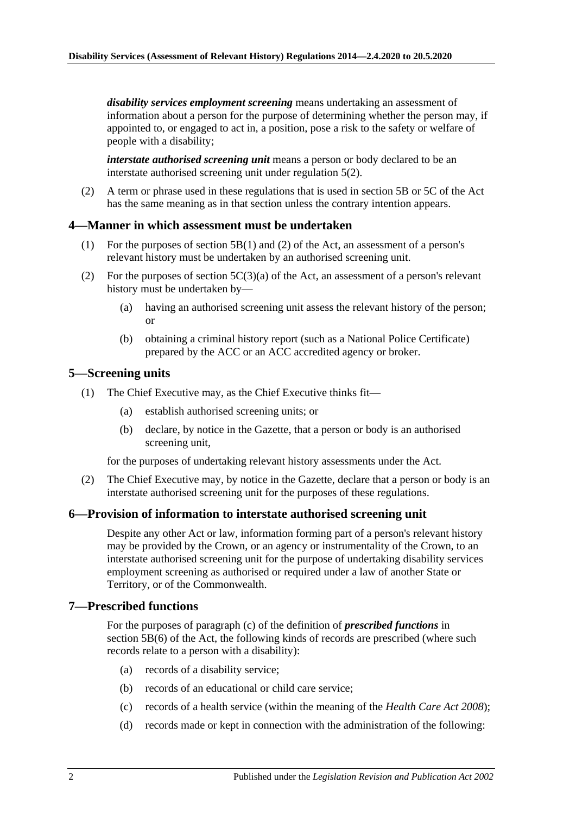*disability services employment screening* means undertaking an assessment of information about a person for the purpose of determining whether the person may, if appointed to, or engaged to act in, a position, pose a risk to the safety or welfare of people with a disability;

*interstate authorised screening unit* means a person or body declared to be an interstate authorised screening unit under [regulation](#page-1-5) 5(2).

(2) A term or phrase used in these regulations that is used in section 5B or 5C of the Act has the same meaning as in that section unless the contrary intention appears.

## <span id="page-1-0"></span>**4—Manner in which assessment must be undertaken**

- (1) For the purposes of section 5B(1) and (2) of the Act, an assessment of a person's relevant history must be undertaken by an authorised screening unit.
- (2) For the purposes of section  $5C(3)(a)$  of the Act, an assessment of a person's relevant history must be undertaken by—
	- (a) having an authorised screening unit assess the relevant history of the person; or
	- (b) obtaining a criminal history report (such as a National Police Certificate) prepared by the ACC or an ACC accredited agency or broker.

## <span id="page-1-4"></span><span id="page-1-1"></span>**5—Screening units**

- (1) The Chief Executive may, as the Chief Executive thinks fit—
	- (a) establish authorised screening units; or
	- (b) declare, by notice in the Gazette, that a person or body is an authorised screening unit,

for the purposes of undertaking relevant history assessments under the Act.

<span id="page-1-5"></span>(2) The Chief Executive may, by notice in the Gazette, declare that a person or body is an interstate authorised screening unit for the purposes of these regulations.

#### <span id="page-1-2"></span>**6—Provision of information to interstate authorised screening unit**

Despite any other Act or law, information forming part of a person's relevant history may be provided by the Crown, or an agency or instrumentality of the Crown, to an interstate authorised screening unit for the purpose of undertaking disability services employment screening as authorised or required under a law of another State or Territory, or of the Commonwealth.

#### <span id="page-1-3"></span>**7—Prescribed functions**

For the purposes of paragraph (c) of the definition of *prescribed functions* in section 5B(6) of the Act, the following kinds of records are prescribed (where such records relate to a person with a disability):

- (a) records of a disability service;
- (b) records of an educational or child care service;
- (c) records of a health service (within the meaning of the *[Health Care Act](http://www.legislation.sa.gov.au/index.aspx?action=legref&type=act&legtitle=Health%20Care%20Act%202008) 2008*);
- (d) records made or kept in connection with the administration of the following: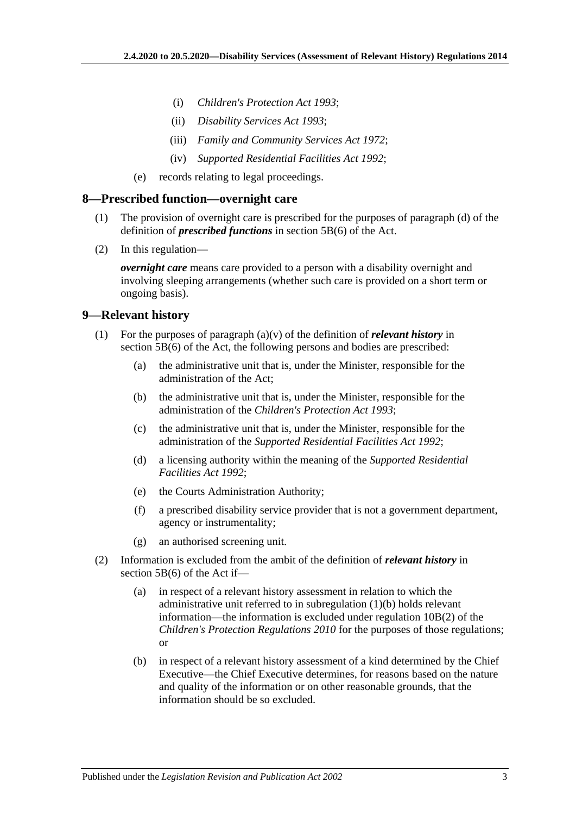- (i) *[Children's Protection Act](http://www.legislation.sa.gov.au/index.aspx?action=legref&type=act&legtitle=Childrens%20Protection%20Act%201993) 1993*;
- (ii) *[Disability Services Act](http://www.legislation.sa.gov.au/index.aspx?action=legref&type=act&legtitle=Disability%20Services%20Act%201993) 1993*;
- (iii) *[Family and Community Services Act](http://www.legislation.sa.gov.au/index.aspx?action=legref&type=act&legtitle=Family%20and%20Community%20Services%20Act%201972) 1972*;
- (iv) *[Supported Residential Facilities Act](http://www.legislation.sa.gov.au/index.aspx?action=legref&type=act&legtitle=Supported%20Residential%20Facilities%20Act%201992) 1992*;
- (e) records relating to legal proceedings.

#### <span id="page-2-0"></span>**8—Prescribed function—overnight care**

- (1) The provision of overnight care is prescribed for the purposes of paragraph (d) of the definition of *prescribed functions* in section 5B(6) of the Act.
- (2) In this regulation—

*overnight care* means care provided to a person with a disability overnight and involving sleeping arrangements (whether such care is provided on a short term or ongoing basis).

## <span id="page-2-1"></span>**9—Relevant history**

- <span id="page-2-2"></span>(1) For the purposes of paragraph (a)(v) of the definition of *relevant history* in section 5B(6) of the Act, the following persons and bodies are prescribed:
	- (a) the administrative unit that is, under the Minister, responsible for the administration of the Act;
	- (b) the administrative unit that is, under the Minister, responsible for the administration of the *[Children's Protection Act](http://www.legislation.sa.gov.au/index.aspx?action=legref&type=act&legtitle=Childrens%20Protection%20Act%201993) 1993*;
	- (c) the administrative unit that is, under the Minister, responsible for the administration of the *[Supported Residential Facilities Act](http://www.legislation.sa.gov.au/index.aspx?action=legref&type=act&legtitle=Supported%20Residential%20Facilities%20Act%201992) 1992*;
	- (d) a licensing authority within the meaning of the *[Supported Residential](http://www.legislation.sa.gov.au/index.aspx?action=legref&type=act&legtitle=Supported%20Residential%20Facilities%20Act%201992)  [Facilities Act](http://www.legislation.sa.gov.au/index.aspx?action=legref&type=act&legtitle=Supported%20Residential%20Facilities%20Act%201992) 1992*;
	- (e) the Courts Administration Authority;
	- (f) a prescribed disability service provider that is not a government department, agency or instrumentality;
	- (g) an authorised screening unit.
- (2) Information is excluded from the ambit of the definition of *relevant history* in section 5B(6) of the Act if—
	- (a) in respect of a relevant history assessment in relation to which the administrative unit referred to in [subregulation](#page-2-2) (1)(b) holds relevant information—the information is excluded under regulation 10B(2) of the *[Children's Protection Regulations](http://www.legislation.sa.gov.au/index.aspx?action=legref&type=subordleg&legtitle=Childrens%20Protection%20Regulations%202010) 2010* for the purposes of those regulations; or
	- (b) in respect of a relevant history assessment of a kind determined by the Chief Executive—the Chief Executive determines, for reasons based on the nature and quality of the information or on other reasonable grounds, that the information should be so excluded.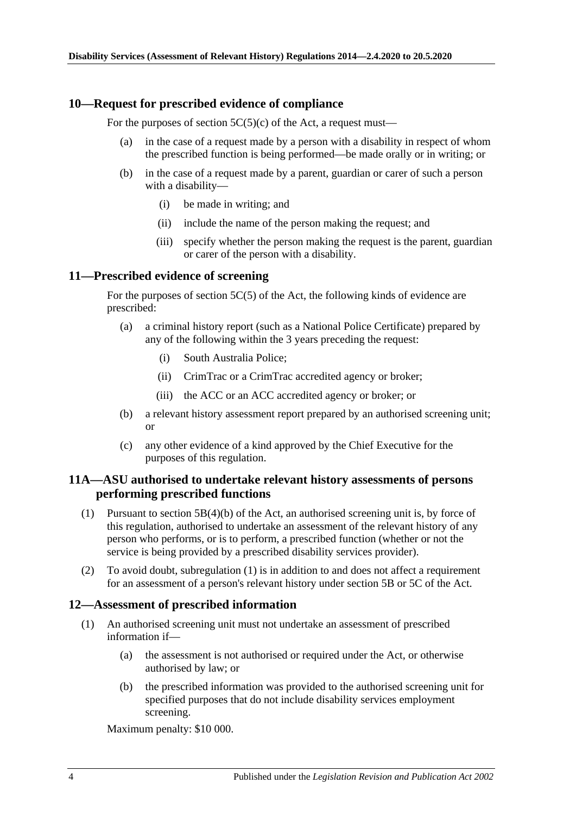## <span id="page-3-0"></span>**10—Request for prescribed evidence of compliance**

For the purposes of section  $5C(5)(c)$  of the Act, a request must—

- (a) in the case of a request made by a person with a disability in respect of whom the prescribed function is being performed—be made orally or in writing; or
- (b) in the case of a request made by a parent, guardian or carer of such a person with a disability—
	- (i) be made in writing; and
	- (ii) include the name of the person making the request; and
	- (iii) specify whether the person making the request is the parent, guardian or carer of the person with a disability.

## <span id="page-3-1"></span>**11—Prescribed evidence of screening**

For the purposes of section 5C(5) of the Act, the following kinds of evidence are prescribed:

- (a) a criminal history report (such as a National Police Certificate) prepared by any of the following within the 3 years preceding the request:
	- (i) South Australia Police;
	- (ii) CrimTrac or a CrimTrac accredited agency or broker;
	- (iii) the ACC or an ACC accredited agency or broker; or
- (b) a relevant history assessment report prepared by an authorised screening unit; or
- (c) any other evidence of a kind approved by the Chief Executive for the purposes of this regulation.

# <span id="page-3-2"></span>**11A—ASU authorised to undertake relevant history assessments of persons performing prescribed functions**

- <span id="page-3-4"></span>(1) Pursuant to section 5B(4)(b) of the Act, an authorised screening unit is, by force of this regulation, authorised to undertake an assessment of the relevant history of any person who performs, or is to perform, a prescribed function (whether or not the service is being provided by a prescribed disability services provider).
- (2) To avoid doubt, [subregulation](#page-3-4) (1) is in addition to and does not affect a requirement for an assessment of a person's relevant history under section 5B or 5C of the Act.

#### <span id="page-3-3"></span>**12—Assessment of prescribed information**

- (1) An authorised screening unit must not undertake an assessment of prescribed information if—
	- (a) the assessment is not authorised or required under the Act, or otherwise authorised by law; or
	- (b) the prescribed information was provided to the authorised screening unit for specified purposes that do not include disability services employment screening.

Maximum penalty: \$10 000.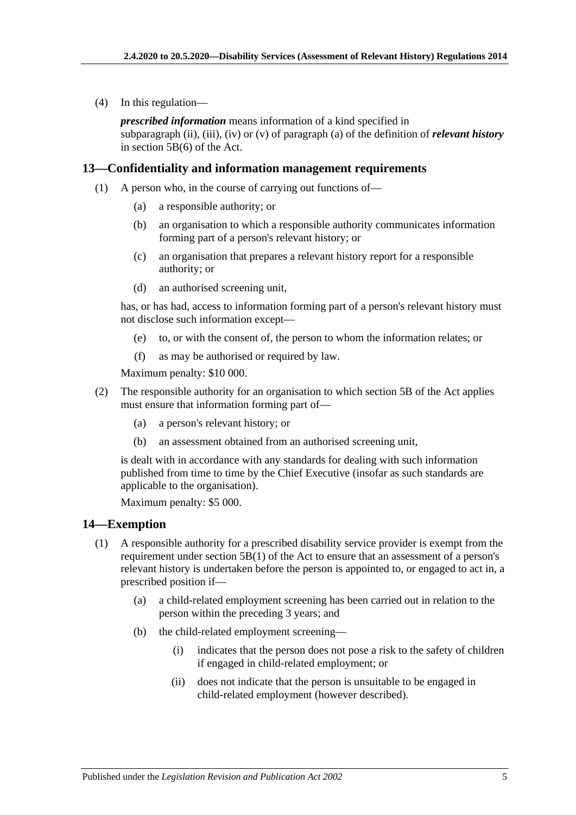(4) In this regulation—

*prescribed information* means information of a kind specified in subparagraph (ii), (iii), (iv) or (v) of paragraph (a) of the definition of *relevant history* in section 5B(6) of the Act.

## <span id="page-4-0"></span>**13—Confidentiality and information management requirements**

- (1) A person who, in the course of carrying out functions of—
	- (a) a responsible authority; or
	- (b) an organisation to which a responsible authority communicates information forming part of a person's relevant history; or
	- (c) an organisation that prepares a relevant history report for a responsible authority; or
	- (d) an authorised screening unit,

has, or has had, access to information forming part of a person's relevant history must not disclose such information except—

- (e) to, or with the consent of, the person to whom the information relates; or
- (f) as may be authorised or required by law.

Maximum penalty: \$10 000.

- (2) The responsible authority for an organisation to which section 5B of the Act applies must ensure that information forming part of—
	- (a) a person's relevant history; or
	- (b) an assessment obtained from an authorised screening unit,

is dealt with in accordance with any standards for dealing with such information published from time to time by the Chief Executive (insofar as such standards are applicable to the organisation).

Maximum penalty: \$5 000.

#### <span id="page-4-1"></span>**14—Exemption**

- (1) A responsible authority for a prescribed disability service provider is exempt from the requirement under section 5B(1) of the Act to ensure that an assessment of a person's relevant history is undertaken before the person is appointed to, or engaged to act in, a prescribed position if—
	- (a) a child-related employment screening has been carried out in relation to the person within the preceding 3 years; and
	- (b) the child-related employment screening—
		- (i) indicates that the person does not pose a risk to the safety of children if engaged in child-related employment; or
		- (ii) does not indicate that the person is unsuitable to be engaged in child-related employment (however described).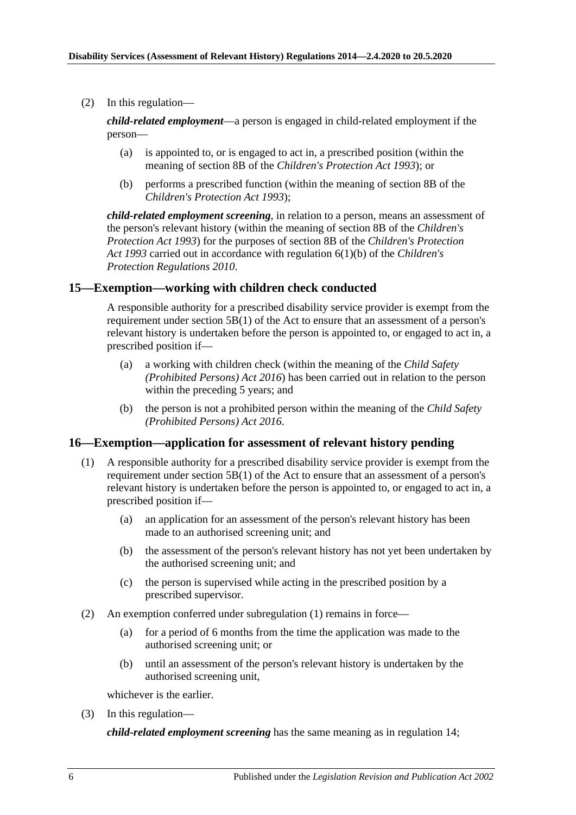(2) In this regulation—

*child-related employment*—a person is engaged in child-related employment if the person—

- (a) is appointed to, or is engaged to act in, a prescribed position (within the meaning of section 8B of the *[Children's Protection Act](http://www.legislation.sa.gov.au/index.aspx?action=legref&type=act&legtitle=Childrens%20Protection%20Act%201993) 1993*); or
- (b) performs a prescribed function (within the meaning of section 8B of the *[Children's Protection Act](http://www.legislation.sa.gov.au/index.aspx?action=legref&type=act&legtitle=Childrens%20Protection%20Act%201993) 1993*);

*child-related employment screening*, in relation to a person, means an assessment of the person's relevant history (within the meaning of section 8B of the *[Children's](http://www.legislation.sa.gov.au/index.aspx?action=legref&type=act&legtitle=Childrens%20Protection%20Act%201993)  [Protection Act](http://www.legislation.sa.gov.au/index.aspx?action=legref&type=act&legtitle=Childrens%20Protection%20Act%201993) 1993*) for the purposes of section 8B of the *[Children's Protection](http://www.legislation.sa.gov.au/index.aspx?action=legref&type=act&legtitle=Childrens%20Protection%20Act%201993)  Act [1993](http://www.legislation.sa.gov.au/index.aspx?action=legref&type=act&legtitle=Childrens%20Protection%20Act%201993)* carried out in accordance with regulation 6(1)(b) of the *[Children's](http://www.legislation.sa.gov.au/index.aspx?action=legref&type=subordleg&legtitle=Childrens%20Protection%20Regulations%202010)  [Protection Regulations](http://www.legislation.sa.gov.au/index.aspx?action=legref&type=subordleg&legtitle=Childrens%20Protection%20Regulations%202010) 2010*.

# <span id="page-5-0"></span>**15—Exemption—working with children check conducted**

A responsible authority for a prescribed disability service provider is exempt from the requirement under section 5B(1) of the Act to ensure that an assessment of a person's relevant history is undertaken before the person is appointed to, or engaged to act in, a prescribed position if—

- (a) a working with children check (within the meaning of the *[Child Safety](http://www.legislation.sa.gov.au/index.aspx?action=legref&type=act&legtitle=Child%20Safety%20(Prohibited%20Persons)%20Act%202016)  [\(Prohibited Persons\) Act](http://www.legislation.sa.gov.au/index.aspx?action=legref&type=act&legtitle=Child%20Safety%20(Prohibited%20Persons)%20Act%202016) 2016*) has been carried out in relation to the person within the preceding 5 years; and
- (b) the person is not a prohibited person within the meaning of the *[Child Safety](http://www.legislation.sa.gov.au/index.aspx?action=legref&type=act&legtitle=Child%20Safety%20(Prohibited%20Persons)%20Act%202016)  [\(Prohibited Persons\) Act](http://www.legislation.sa.gov.au/index.aspx?action=legref&type=act&legtitle=Child%20Safety%20(Prohibited%20Persons)%20Act%202016) 2016*.

#### <span id="page-5-2"></span><span id="page-5-1"></span>**16—Exemption—application for assessment of relevant history pending**

- (1) A responsible authority for a prescribed disability service provider is exempt from the requirement under section 5B(1) of the Act to ensure that an assessment of a person's relevant history is undertaken before the person is appointed to, or engaged to act in, a prescribed position if—
	- (a) an application for an assessment of the person's relevant history has been made to an authorised screening unit; and
	- (b) the assessment of the person's relevant history has not yet been undertaken by the authorised screening unit; and
	- (c) the person is supervised while acting in the prescribed position by a prescribed supervisor.
- (2) An exemption conferred under [subregulation](#page-5-2) (1) remains in force—
	- (a) for a period of 6 months from the time the application was made to the authorised screening unit; or
	- (b) until an assessment of the person's relevant history is undertaken by the authorised screening unit,

whichever is the earlier.

(3) In this regulation—

*child-related employment screening* has the same meaning as in [regulation](#page-4-1) 14;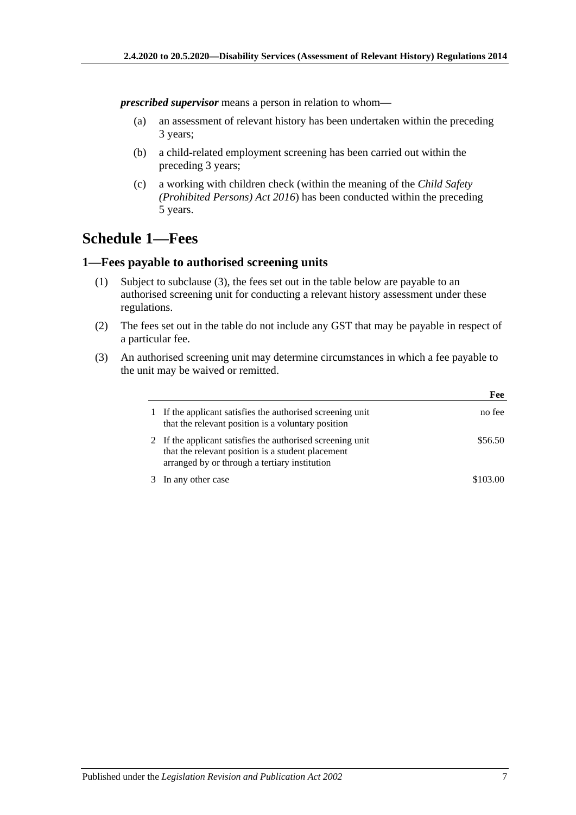*prescribed supervisor* means a person in relation to whom—

- (a) an assessment of relevant history has been undertaken within the preceding 3 years;
- (b) a child-related employment screening has been carried out within the preceding 3 years;
- (c) a working with children check (within the meaning of the *[Child Safety](http://www.legislation.sa.gov.au/index.aspx?action=legref&type=act&legtitle=Child%20Safety%20(Prohibited%20Persons)%20Act%202016)  [\(Prohibited Persons\) Act](http://www.legislation.sa.gov.au/index.aspx?action=legref&type=act&legtitle=Child%20Safety%20(Prohibited%20Persons)%20Act%202016) 2016*) has been conducted within the preceding 5 years.

# <span id="page-6-0"></span>**Schedule 1—Fees**

## <span id="page-6-1"></span>**1—Fees payable to authorised screening units**

- (1) Subject to [subclause](#page-6-2) (3), the fees set out in the table below are payable to an authorised screening unit for conducting a relevant history assessment under these regulations.
- (2) The fees set out in the table do not include any GST that may be payable in respect of a particular fee.
- <span id="page-6-2"></span>(3) An authorised screening unit may determine circumstances in which a fee payable to the unit may be waived or remitted.

|                                                                                                                                                                  | Fee     |
|------------------------------------------------------------------------------------------------------------------------------------------------------------------|---------|
| If the applicant satisfies the authorised screening unit<br>that the relevant position is a voluntary position                                                   | no fee  |
| 2 If the applicant satisfies the authorised screening unit<br>that the relevant position is a student placement<br>arranged by or through a tertiary institution | \$56.50 |
| In any other case                                                                                                                                                |         |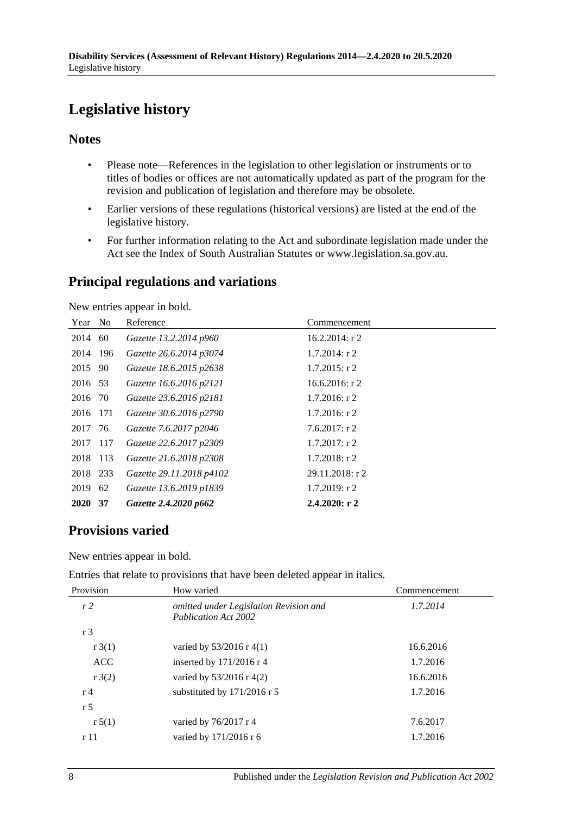# <span id="page-7-0"></span>**Legislative history**

# **Notes**

- Please note—References in the legislation to other legislation or instruments or to titles of bodies or offices are not automatically updated as part of the program for the revision and publication of legislation and therefore may be obsolete.
- Earlier versions of these regulations (historical versions) are listed at the end of the legislative history.
- For further information relating to the Act and subordinate legislation made under the Act see the Index of South Australian Statutes or www.legislation.sa.gov.au.

# **Principal regulations and variations**

New entries appear in bold.

| Year No     |      | Reference                | Commencement      |
|-------------|------|--------------------------|-------------------|
| 2014        | 60   | Gazette 13.2.2014 p960   | $16.2.2014$ : r 2 |
| 2014 196    |      | Gazette 26.6.2014 p3074  | $1.7.2014$ : r 2  |
| 2015 90     |      | Gazette 18.6.2015 p2638  | $1.7.2015$ : r 2  |
| 2016 53     |      | Gazette 16.6.2016 p2121  | 16.6.2016: $r$ 2  |
| 2016        | - 70 | Gazette 23.6.2016 p2181  | $1.7.2016$ : r 2  |
| 2016 171    |      | Gazette 30.6.2016 p2790  | $1.7.2016$ : r 2  |
| 2017 76     |      | Gazette 7.6.2017 p2046   | $7.6.2017:$ r 2   |
| 2017 117    |      | Gazette 22.6.2017 p2309  | $1.7.2017$ : r 2  |
| 2018 113    |      | Gazette 21.6.2018 p2308  | $1.7.2018$ : r 2  |
| 2018 233    |      | Gazette 29.11.2018 p4102 | 29.11.2018: r 2   |
| 2019        | 62   | Gazette 13.6.2019 p1839  | $1.7.2019$ : r 2  |
| <b>2020</b> | 37   | Gazette 2.4.2020 p662    | 2.4.2020: r2      |

# **Provisions varied**

New entries appear in bold.

Entries that relate to provisions that have been deleted appear in italics.

| Provision          | How varied                                                            | Commencement |  |
|--------------------|-----------------------------------------------------------------------|--------------|--|
| r2                 | omitted under Legislation Revision and<br><b>Publication Act 2002</b> | 1.7.2014     |  |
| r <sub>3</sub>     |                                                                       |              |  |
| $r \cdot 3(1)$     | varied by $53/2016$ r 4(1)                                            | 16.6.2016    |  |
| <b>ACC</b>         | inserted by 171/2016 r 4                                              | 1.7.2016     |  |
| $r \frac{3(2)}{2}$ | varied by $53/2016$ r 4(2)                                            | 16.6.2016    |  |
| r <sub>4</sub>     | substituted by 171/2016 r 5                                           | 1.7.2016     |  |
| r <sub>5</sub>     |                                                                       |              |  |
| r 5(1)             | varied by $76/2017$ r 4                                               | 7.6.2017     |  |
| r11                | varied by 171/2016 r 6                                                | 1.7.2016     |  |